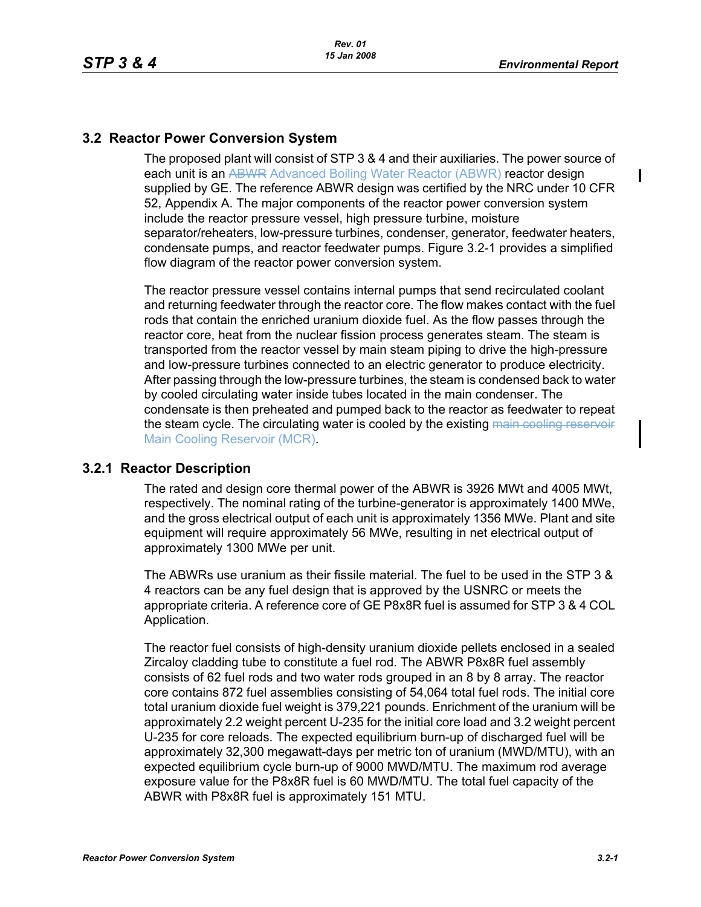## **3.2 Reactor Power Conversion System**

The proposed plant will consist of STP 3 & 4 and their auxiliaries. The power source of each unit is an ABWR Advanced Boiling Water Reactor (ABWR) reactor design supplied by GE. The reference ABWR design was certified by the NRC under 10 CFR 52, Appendix A. The major components of the reactor power conversion system include the reactor pressure vessel, high pressure turbine, moisture separator/reheaters, low-pressure turbines, condenser, generator, feedwater heaters, condensate pumps, and reactor feedwater pumps. Figure 3.2-1 provides a simplified flow diagram of the reactor power conversion system.

The reactor pressure vessel contains internal pumps that send recirculated coolant and returning feedwater through the reactor core. The flow makes contact with the fuel rods that contain the enriched uranium dioxide fuel. As the flow passes through the reactor core, heat from the nuclear fission process generates steam. The steam is transported from the reactor vessel by main steam piping to drive the high-pressure and low-pressure turbines connected to an electric generator to produce electricity. After passing through the low-pressure turbines, the steam is condensed back to water by cooled circulating water inside tubes located in the main condenser. The condensate is then preheated and pumped back to the reactor as feedwater to repeat the steam cycle. The circulating water is cooled by the existing main cooling reservoir Main Cooling Reservoir (MCR).

## **3.2.1 Reactor Description**

The rated and design core thermal power of the ABWR is 3926 MWt and 4005 MWt, respectively. The nominal rating of the turbine-generator is approximately 1400 MWe, and the gross electrical output of each unit is approximately 1356 MWe. Plant and site equipment will require approximately 56 MWe, resulting in net electrical output of approximately 1300 MWe per unit.

The ABWRs use uranium as their fissile material. The fuel to be used in the STP 3 & 4 reactors can be any fuel design that is approved by the USNRC or meets the appropriate criteria. A reference core of GE P8x8R fuel is assumed for STP 3 & 4 COL Application.

The reactor fuel consists of high-density uranium dioxide pellets enclosed in a sealed Zircaloy cladding tube to constitute a fuel rod. The ABWR P8x8R fuel assembly consists of 62 fuel rods and two water rods grouped in an 8 by 8 array. The reactor core contains 872 fuel assemblies consisting of 54,064 total fuel rods. The initial core total uranium dioxide fuel weight is 379,221 pounds. Enrichment of the uranium will be approximately 2.2 weight percent U-235 for the initial core load and 3.2 weight percent U-235 for core reloads. The expected equilibrium burn-up of discharged fuel will be approximately 32,300 megawatt-days per metric ton of uranium (MWD/MTU), with an expected equilibrium cycle burn-up of 9000 MWD/MTU. The maximum rod average exposure value for the P8x8R fuel is 60 MWD/MTU. The total fuel capacity of the ABWR with P8x8R fuel is approximately 151 MTU.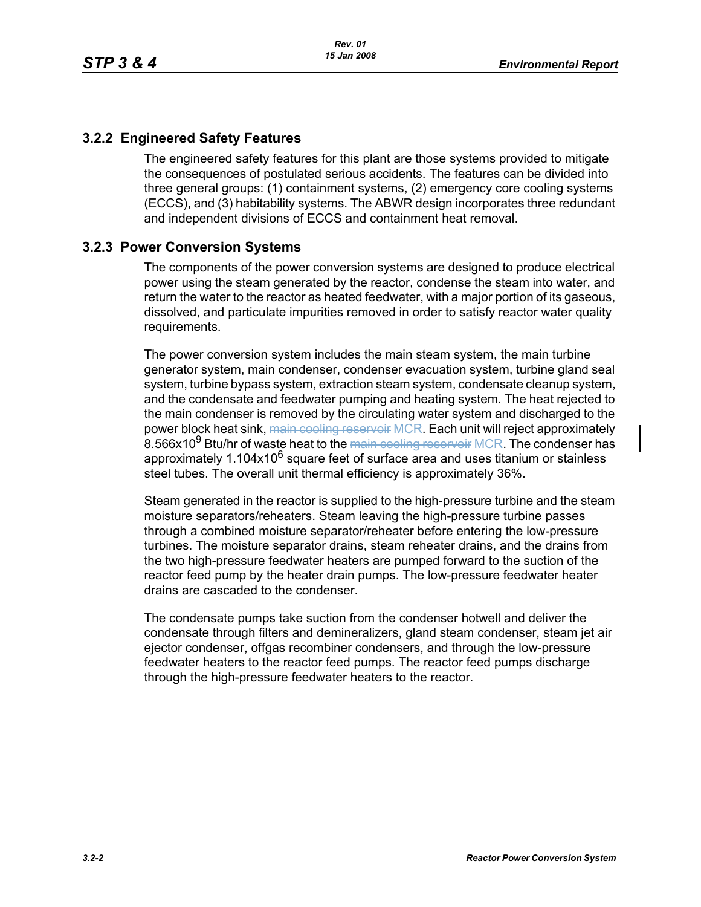## **3.2.2 Engineered Safety Features**

The engineered safety features for this plant are those systems provided to mitigate the consequences of postulated serious accidents. The features can be divided into three general groups: (1) containment systems, (2) emergency core cooling systems (ECCS), and (3) habitability systems. The ABWR design incorporates three redundant and independent divisions of ECCS and containment heat removal.

## **3.2.3 Power Conversion Systems**

The components of the power conversion systems are designed to produce electrical power using the steam generated by the reactor, condense the steam into water, and return the water to the reactor as heated feedwater, with a major portion of its gaseous, dissolved, and particulate impurities removed in order to satisfy reactor water quality requirements.

The power conversion system includes the main steam system, the main turbine generator system, main condenser, condenser evacuation system, turbine gland seal system, turbine bypass system, extraction steam system, condensate cleanup system, and the condensate and feedwater pumping and heating system. The heat rejected to the main condenser is removed by the circulating water system and discharged to the power block heat sink, main cooling reservoir MCR. Each unit will reject approximately 8.566x10<sup>9</sup> Btu/hr of waste heat to the main cooling reservoir MCR. The condenser has approximately 1.104x10<sup>6</sup> square feet of surface area and uses titanium or stainless steel tubes. The overall unit thermal efficiency is approximately 36%.

Steam generated in the reactor is supplied to the high-pressure turbine and the steam moisture separators/reheaters. Steam leaving the high-pressure turbine passes through a combined moisture separator/reheater before entering the low-pressure turbines. The moisture separator drains, steam reheater drains, and the drains from the two high-pressure feedwater heaters are pumped forward to the suction of the reactor feed pump by the heater drain pumps. The low-pressure feedwater heater drains are cascaded to the condenser.

The condensate pumps take suction from the condenser hotwell and deliver the condensate through filters and demineralizers, gland steam condenser, steam jet air ejector condenser, offgas recombiner condensers, and through the low-pressure feedwater heaters to the reactor feed pumps. The reactor feed pumps discharge through the high-pressure feedwater heaters to the reactor.